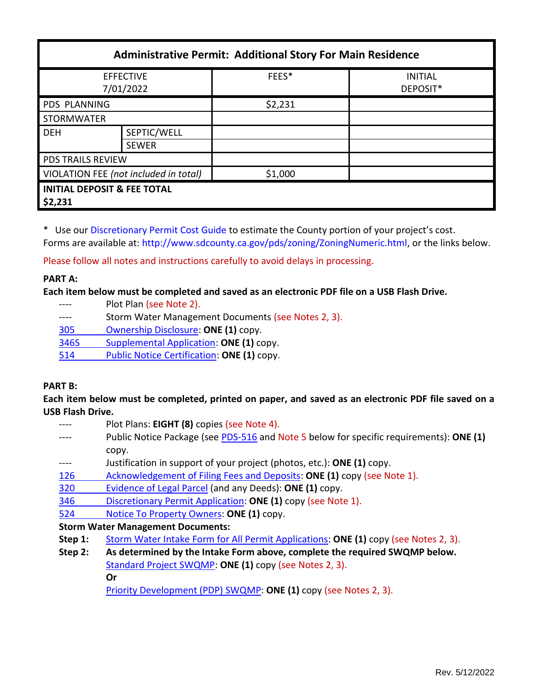| <b>Administrative Permit: Additional Story For Main Residence</b> |                             |         |                            |  |
|-------------------------------------------------------------------|-----------------------------|---------|----------------------------|--|
| <b>EFFECTIVE</b><br>7/01/2022                                     |                             | FEES*   | <b>INITIAL</b><br>DEPOSIT* |  |
| PDS PLANNING                                                      |                             | \$2,231 |                            |  |
| <b>STORMWATER</b>                                                 |                             |         |                            |  |
| <b>DEH</b>                                                        | SEPTIC/WELL<br><b>SEWER</b> |         |                            |  |
| <b>PDS TRAILS REVIEW</b>                                          |                             |         |                            |  |
| VIOLATION FEE (not included in total)                             |                             | \$1,000 |                            |  |
| <b>INITIAL DEPOSIT &amp; FEE TOTAL</b><br>\$2,231                 |                             |         |                            |  |

\* Use ou[r Discretionary Permit Cost Guide](http://www.sandiegocounty.gov/content/dam/sdc/pds/docs/Discretionary_Permit_Cost_Guide.xlsx) to estimate the County portion of your project's cost. Forms are available at[: http://www.sdcounty.ca.gov/pds/zoning/ZoningNumeric.html,](http://www.sdcounty.ca.gov/pds/zoning/ZoningNumeric.html) or the links below.

Please follow all notes and instructions carefully to avoid delays in processing.

## **PART A:**

**Each item below must be completed and saved as an electronic PDF file on a USB Flash Drive.**

- ---- Plot Plan (see Note 2).
- ---- Storm Water Management Documents (see Notes 2, 3).
- 305 [Ownership Disclosure:](http://www.sdcounty.ca.gov/pds/zoning/formfields/PDS-PLN-305.pdf) **ONE (1)** copy.
- 346S [Supplemental Application:](http://www.sdcounty.ca.gov/pds/zoning/formfields/PDS-PLN-346S.pdf) **ONE (1)** copy.
- 514 Public [Notice Certification:](http://www.sdcounty.ca.gov/pds/zoning/formfields/PDS-PLN-514.pdf) **ONE (1)** copy.

### **PART B:**

**Each item below must be completed, printed on paper, and saved as an electronic PDF file saved on a USB Flash Drive.**

- ---- Plot Plans: **EIGHT (8)** copies (see Note 4).
- ---- Public Notice Package (see [PDS-516](https://www.sandiegocounty.gov/pds/zoning/formfields/PDS-PLN-516.pdf) and Note 5 below for specific requirements): **ONE (1)** copy.
- ---- Justification in support of your project (photos, etc.): **ONE (1)** copy.
- [126 Acknowledgement of Filing Fees and Deposits:](http://www.sdcounty.ca.gov/pds/zoning/formfields/PDS-PLN-126.pdf) **ONE (1)** copy (see Note 1).
- 320 [Evidence of Legal Parcel](http://www.sdcounty.ca.gov/pds/zoning/formfields/PDS-PLN-320.pdf) (and any Deeds): **ONE (1)** copy.
- 346 [Discretionary Permit Application:](http://www.sdcounty.ca.gov/pds/zoning/formfields/PDS-PLN-346.pdf) **ONE (1)** copy (see Note 1).
- 524 [Notice To Property Owners:](http://www.sandiegocounty.gov/content/dam/sdc/pds/zoning/formfields/PDS-PLN-524.pdf) **ONE (1)** copy.

# **Storm Water Management Documents:**

- **Step 1:** [Storm Water Intake Form for All Permit Applications:](http://www.sandiegocounty.gov/content/dam/sdc/pds/zoning/formfields/SWQMP-Intake-Form.pdf) **ONE (1)** copy (see Notes 2, 3).
- **Step 2: As determined by the Intake Form above, complete the required SWQMP below.** [Standard Project SWQMP:](http://www.sandiegocounty.gov/content/dam/sdc/pds/zoning/formfields/SWQMP-Standard.pdf) **ONE (1)** copy (see Notes 2, 3).

**Or**

[Priority Development \(PDP\) SWQMP:](https://www.sandiegocounty.gov/content/sdc/dpw/watersheds/DevelopmentandConstruction/BMP_Design_Manual.html) **ONE (1)** copy (see Notes 2, 3).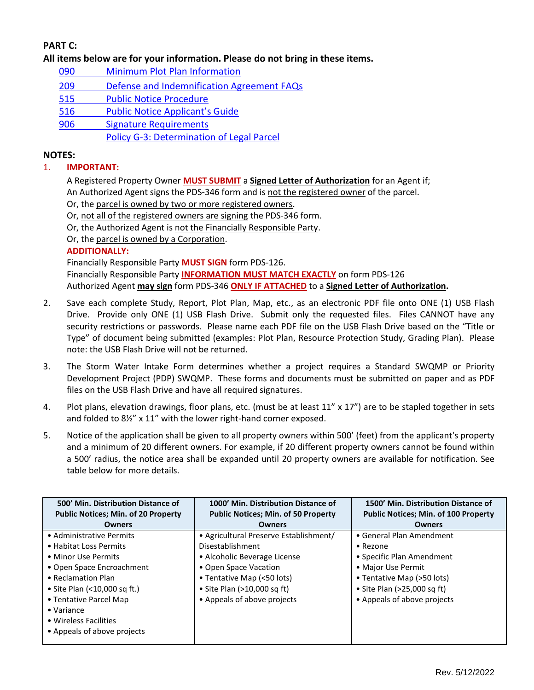# **PART C:**

**All items below are for your information. Please do not bring in these items.**

- 090 [Minimum Plot Plan Information](http://www.sdcounty.ca.gov/pds/docs/pds090.pdf)
- 209 [Defense and Indemnification Agreement FAQs](http://www.sdcounty.ca.gov/pds/zoning/formfields/PDS-PLN-209.pdf)
- [515 Public Notice Procedure](http://www.sdcounty.ca.gov/pds/zoning/formfields/PDS-PLN-515.pdf)
- 516 [Public Notice Applicant's Guide](http://www.sdcounty.ca.gov/pds/zoning/formfields/PDS-PLN-516.pdf)
- [906 Signature Requirements](http://www.sdcounty.ca.gov/pds/zoning/formfields/PDS-PLN-906.pdf)
	- [Policy G-3: Determination of Legal Parcel](http://www.sdcounty.ca.gov/pds/zoning/formfields/POLICY-G-3.pdf)

# **NOTES:**

## 1. **IMPORTANT:**

A Registered Property Owner **MUST SUBMIT** a **Signed Letter of Authorization** for an Agent if; An Authorized Agent signs the PDS-346 form and is not the registered owner of the parcel.

Or, the parcel is owned by two or more registered owners.

Or, not all of the registered owners are signing the PDS-346 form.

Or, the Authorized Agent is not the Financially Responsible Party.

Or, the parcel is owned by a Corporation.

## **ADDITIONALLY:**

Financially Responsible Party **MUST SIGN** form PDS-126.

Financially Responsible Party **INFORMATION MUST MATCH EXACTLY** on form PDS-126 Authorized Agent **may sign** form PDS-346 **ONLY IF ATTACHED** to a **Signed Letter of Authorization.**

- 2. Save each complete Study, Report, Plot Plan, Map, etc., as an electronic PDF file onto ONE (1) USB Flash Drive. Provide only ONE (1) USB Flash Drive. Submit only the requested files. Files CANNOT have any security restrictions or passwords. Please name each PDF file on the USB Flash Drive based on the "Title or Type" of document being submitted (examples: Plot Plan, Resource Protection Study, Grading Plan). Please note: the USB Flash Drive will not be returned.
- 3. The Storm Water Intake Form determines whether a project requires a Standard SWQMP or Priority Development Project (PDP) SWQMP. These forms and documents must be submitted on paper and as PDF files on the USB Flash Drive and have all required signatures.
- 4. Plot plans, elevation drawings, floor plans, etc. (must be at least 11" x 17") are to be stapled together in sets and folded to 8½" x 11" with the lower right-hand corner exposed.
- 5. Notice of the application shall be given to all property owners within 500' (feet) from the applicant's property and a minimum of 20 different owners. For example, if 20 different property owners cannot be found within a 500' radius, the notice area shall be expanded until 20 property owners are available for notification. See table below for more details.

| 500' Min. Distribution Distance of                                         | 1000' Min. Distribution Distance of        | 1500' Min. Distribution Distance of         |
|----------------------------------------------------------------------------|--------------------------------------------|---------------------------------------------|
| <b>Public Notices; Min. of 20 Property</b>                                 | <b>Public Notices; Min. of 50 Property</b> | <b>Public Notices; Min. of 100 Property</b> |
| <b>Owners</b>                                                              | <b>Owners</b>                              | <b>Owners</b>                               |
| • Administrative Permits                                                   | • Agricultural Preserve Establishment/     | • General Plan Amendment                    |
| • Habitat Loss Permits                                                     | Disestablishment                           | $\bullet$ Rezone                            |
| • Minor Use Permits                                                        | • Alcoholic Beverage License               | • Specific Plan Amendment                   |
| • Open Space Encroachment                                                  | • Open Space Vacation                      | • Major Use Permit                          |
| • Reclamation Plan                                                         | • Tentative Map (<50 lots)                 | • Tentative Map (>50 lots)                  |
| • Site Plan (<10,000 sq ft.)                                               | • Site Plan (>10,000 sq ft)                | • Site Plan (>25,000 sq ft)                 |
| • Tentative Parcel Map                                                     | • Appeals of above projects                | • Appeals of above projects                 |
| $\bullet$ Variance<br>• Wireless Facilities<br>• Appeals of above projects |                                            |                                             |